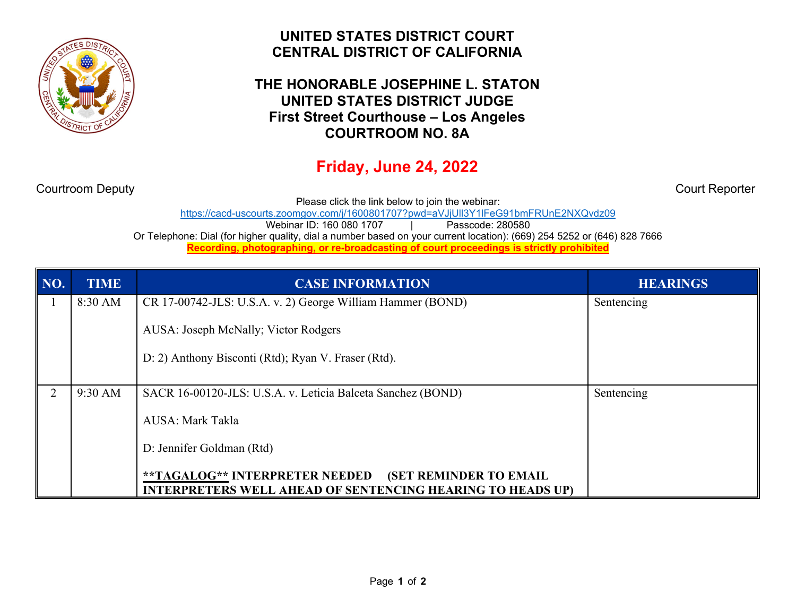

## **UNITED STATES DISTRICT COURT CENTRAL DISTRICT OF CALIFORNIA**

## **THE HONORABLE JOSEPHINE L. STATON UNITED STATES DISTRICT JUDGE First Street Courthouse – Los Angeles COURTROOM NO. 8A**

## **Friday, June 24, 2022**

Courtroom Deputy Court Reporter

Please click the link below to join the webinar:

https://cacd-uscourts.zoomgov.com/j/1600801707?pwd=aVJjUll3Y1lFeG91bmFRUnE2NXQvdz09

Webinar ID: 160 080 1707 | Pass

Or Telephone: Dial (for higher quality, dial a number based on your current location): (669) 254 5252 or (646) 828 7666

**Recording, photographing, or re-broadcasting of court proceedings is strictly prohibited**

| NO. | <b>TIME</b> | <b>CASE INFORMATION</b>                                                                                                              | <b>HEARINGS</b> |
|-----|-------------|--------------------------------------------------------------------------------------------------------------------------------------|-----------------|
|     | 8:30 AM     | CR 17-00742-JLS: U.S.A. v. 2) George William Hammer (BOND)                                                                           | Sentencing      |
|     |             | AUSA: Joseph McNally; Victor Rodgers                                                                                                 |                 |
|     |             | D: 2) Anthony Bisconti (Rtd); Ryan V. Fraser (Rtd).                                                                                  |                 |
| 2   | 9:30 AM     | SACR 16-00120-JLS: U.S.A. v. Leticia Balceta Sanchez (BOND)                                                                          | Sentencing      |
|     |             | AUSA: Mark Takla                                                                                                                     |                 |
|     |             | D: Jennifer Goldman (Rtd)                                                                                                            |                 |
|     |             | **TAGALOG** INTERPRETER NEEDED<br><b>(SET REMINDER TO EMAIL</b><br><b>INTERPRETERS WELL AHEAD OF SENTENCING HEARING TO HEADS UP)</b> |                 |